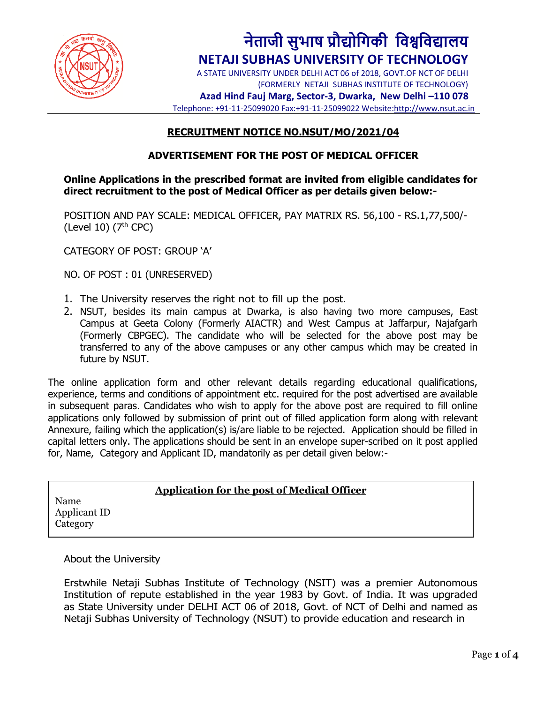

# **नेताजी सुभाष प्रौद्योगिकी गिश्वगिद्यालय NETAJI SUBHAS UNIVERSITY OF TECHNOLOGY**

A STATE UNIVERSITY UNDER DELHI ACT 06 of 2018, GOVT.OF NCT OF DELHI (FORMERLY NETAJI SUBHAS INSTITUTE OF TECHNOLOGY)

**Azad Hind Fauj Marg, Sector-3, Dwarka, New Delhi –110 078** Telephone: +91-11-25099020 Fax:+91-11-25099022 Website[:http://www.nsut.ac.in](http://www.nsut.ac.in/)

## **RECRUITMENT NOTICE NO.NSUT/MO/2021/04**

## **ADVERTISEMENT FOR THE POST OF MEDICAL OFFICER**

**Online Applications in the prescribed format are invited from eligible candidates for direct recruitment to the post of Medical Officer as per details given below:-**

POSITION AND PAY SCALE: MEDICAL OFFICER, PAY MATRIX RS. 56,100 - RS.1,77,500/- (Level 10)  $(7<sup>th</sup>$  CPC)

CATEGORY OF POST: GROUP 'A'

NO. OF POST : 01 (UNRESERVED)

- 1. The University reserves the right not to fill up the post.
- 2. NSUT, besides its main campus at Dwarka, is also having two more campuses, East Campus at Geeta Colony (Formerly AIACTR) and West Campus at Jaffarpur, Najafgarh (Formerly CBPGEC). The candidate who will be selected for the above post may be transferred to any of the above campuses or any other campus which may be created in future by NSUT.

The online application form and other relevant details regarding educational qualifications, experience, terms and conditions of appointment etc. required for the post advertised are available in subsequent paras. Candidates who wish to apply for the above post are required to fill online applications only followed by submission of print out of filled application form along with relevant Annexure, failing which the application(s) is/are liable to be rejected. Application should be filled in capital letters only. The applications should be sent in an envelope super-scribed on it post applied for, Name, Category and Applicant ID, mandatorily as per detail given below:-

#### **Application for the post of Medical Officer**

Name Applicant ID **Category** 

#### About the University

Erstwhile Netaji Subhas Institute of Technology (NSIT) was a premier Autonomous Institution of repute established in the year 1983 by Govt. of India. It was upgraded as State University under DELHI ACT 06 of 2018, Govt. of NCT of Delhi and named as Netaji Subhas University of Technology (NSUT) to provide education and research in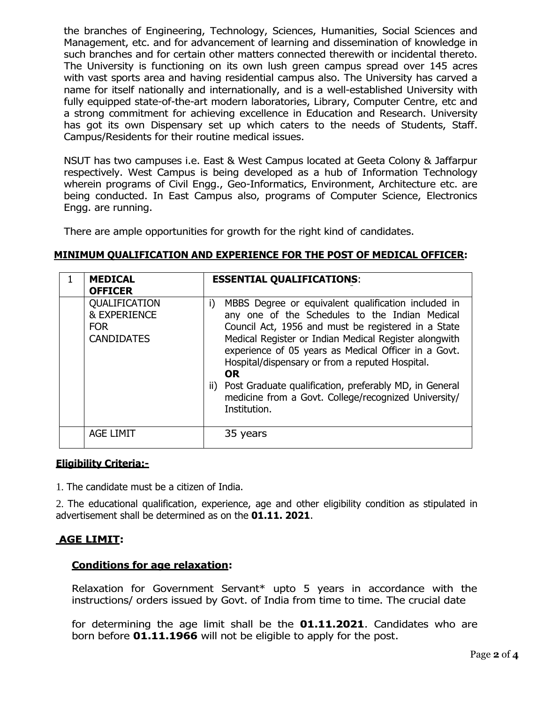the branches of Engineering, Technology, Sciences, Humanities, Social Sciences and Management, etc. and for advancement of learning and dissemination of knowledge in such branches and for certain other matters connected therewith or incidental thereto. The University is functioning on its own lush green campus spread over 145 acres with vast sports area and having residential campus also. The University has carved a name for itself nationally and internationally, and is a well-established University with fully equipped state-of-the-art modern laboratories, Library, Computer Centre, etc and a strong commitment for achieving excellence in Education and Research. University has got its own Dispensary set up which caters to the needs of Students, Staff. Campus/Residents for their routine medical issues.

NSUT has two campuses i.e. East & West Campus located at Geeta Colony & Jaffarpur respectively. West Campus is being developed as a hub of Information Technology wherein programs of Civil Engg., Geo-Informatics, Environment, Architecture etc. are being conducted. In East Campus also, programs of Computer Science, Electronics Engg. are running.

There are ample opportunities for growth for the right kind of candidates.

### **MINIMUM QUALIFICATION AND EXPERIENCE FOR THE POST OF MEDICAL OFFICER:**

| <b>MEDICAL</b><br><b>OFFICER</b>                                            | <b>ESSENTIAL QUALIFICATIONS:</b>                                                                                                                                                                                                                                                                                                                                                                                                                                                                     |
|-----------------------------------------------------------------------------|------------------------------------------------------------------------------------------------------------------------------------------------------------------------------------------------------------------------------------------------------------------------------------------------------------------------------------------------------------------------------------------------------------------------------------------------------------------------------------------------------|
| QUALIFICATION<br><b>&amp; EXPERIENCE</b><br><b>FOR</b><br><b>CANDIDATES</b> | MBBS Degree or equivalent qualification included in<br>i)<br>any one of the Schedules to the Indian Medical<br>Council Act, 1956 and must be registered in a State<br>Medical Register or Indian Medical Register alongwith<br>experience of 05 years as Medical Officer in a Govt.<br>Hospital/dispensary or from a reputed Hospital.<br><b>OR</b><br>Post Graduate qualification, preferably MD, in General<br>$\parallel$<br>medicine from a Govt. College/recognized University/<br>Institution. |
| <b>AGE LIMIT</b>                                                            | 35 years                                                                                                                                                                                                                                                                                                                                                                                                                                                                                             |

#### **Eligibility Criteria:-**

1. The candidate must be a citizen of India.

2. The educational qualification, experience, age and other eligibility condition as stipulated in advertisement shall be determined as on the **01.11. 2021**.

#### **AGE LIMIT:**

#### **Conditions for age relaxation:**

Relaxation for Government Servant\* upto 5 years in accordance with the instructions/ orders issued by Govt. of India from time to time. The crucial date

for determining the age limit shall be the **01.11.2021**. Candidates who are born before **01.11.1966** will not be eligible to apply for the post.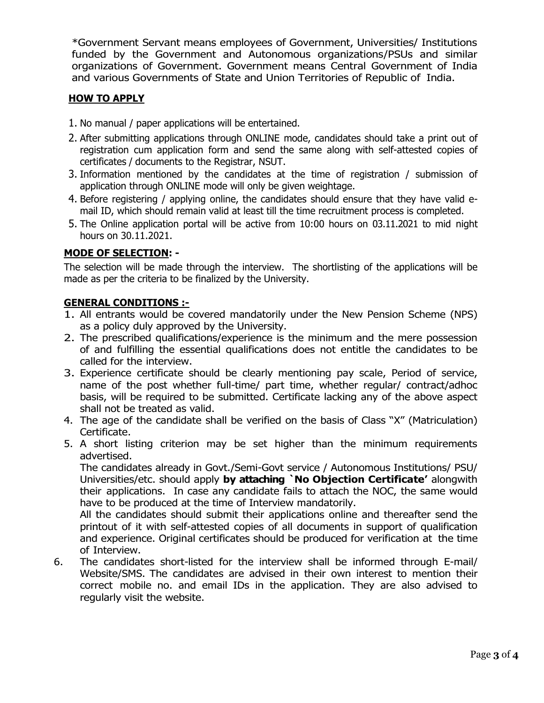\*Government Servant means employees of Government, Universities/ Institutions funded by the Government and Autonomous organizations/PSUs and similar organizations of Government. Government means Central Government of India and various Governments of State and Union Territories of Republic of India.

## **HOW TO APPLY**

- 1. No manual / paper applications will be entertained.
- 2. After submitting applications through ONLINE mode, candidates should take a print out of registration cum application form and send the same along with self-attested copies of certificates / documents to the Registrar, NSUT.
- 3. Information mentioned by the candidates at the time of registration / submission of application through ONLINE mode will only be given weightage.
- 4. Before registering / applying online, the candidates should ensure that they have valid email ID, which should remain valid at least till the time recruitment process is completed.
- 5. The Online application portal will be active from 10:00 hours on 03.11.2021 to mid night hours on 30.11.2021.

## **MODE OF SELECTION: -**

The selection will be made through the interview. The shortlisting of the applications will be made as per the criteria to be finalized by the University.

## **GENERAL CONDITIONS :-**

- 1. All entrants would be covered mandatorily under the New Pension Scheme (NPS) as a policy duly approved by the University.
- 2. The prescribed qualifications/experience is the minimum and the mere possession of and fulfilling the essential qualifications does not entitle the candidates to be called for the interview.
- 3. Experience certificate should be clearly mentioning pay scale, Period of service, name of the post whether full-time/ part time, whether regular/ contract/adhoc basis, will be required to be submitted. Certificate lacking any of the above aspect shall not be treated as valid.
- 4. The age of the candidate shall be verified on the basis of Class "X" (Matriculation) Certificate.
- 5. A short listing criterion may be set higher than the minimum requirements advertised.

The candidates already in Govt./Semi-Govt service / Autonomous Institutions/ PSU/ Universities/etc. should apply **by attaching `No Objection Certificate'** alongwith their applications. In case any candidate fails to attach the NOC, the same would have to be produced at the time of Interview mandatorily.

All the candidates should submit their applications online and thereafter send the printout of it with self-attested copies of all documents in support of qualification and experience. Original certificates should be produced for verification at the time of Interview.

6. The candidates short-listed for the interview shall be informed through E-mail/ Website/SMS. The candidates are advised in their own interest to mention their correct mobile no. and email IDs in the application. They are also advised to regularly visit the website.